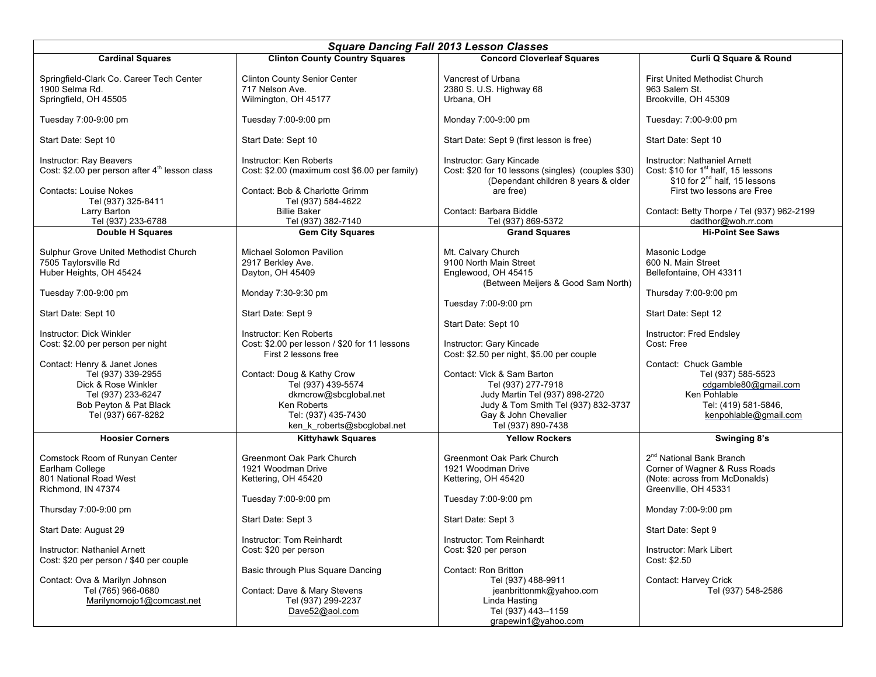| <b>Square Dancing Fall 2013 Lesson Classes</b>                                                                                                                                                                       |  |
|----------------------------------------------------------------------------------------------------------------------------------------------------------------------------------------------------------------------|--|
| <b>Clinton County Country Squares</b><br><b>Concord Cloverleaf Squares</b><br><b>Cardinal Squares</b><br><b>Curli Q Square &amp; Round</b>                                                                           |  |
|                                                                                                                                                                                                                      |  |
| Springfield-Clark Co. Career Tech Center<br><b>Clinton County Senior Center</b><br>Vancrest of Urbana<br><b>First United Methodist Church</b>                                                                        |  |
| 1900 Selma Rd.<br>717 Nelson Ave.<br>2380 S. U.S. Highway 68<br>963 Salem St.<br>Urbana, OH<br>Springfield, OH 45505<br>Wilmington, OH 45177<br>Brookville, OH 45309                                                 |  |
|                                                                                                                                                                                                                      |  |
| Tuesday 7:00-9:00 pm<br>Tuesday 7:00-9:00 pm<br>Monday 7:00-9:00 pm<br>Tuesday: 7:00-9:00 pm                                                                                                                         |  |
| Start Date: Sept 10<br>Start Date: Sept 10<br>Start Date: Sept 9 (first lesson is free)<br>Start Date: Sept 10                                                                                                       |  |
| Instructor: Ray Beavers<br>Instructor: Ken Roberts<br>Instructor: Gary Kincade<br>Instructor: Nathaniel Arnett                                                                                                       |  |
| Cost: \$2.00 per person after 4 <sup>th</sup> lesson class<br>Cost: \$10 for 1 <sup>st</sup> half, 15 lessons<br>Cost: \$20 for 10 lessons (singles) (couples \$30)<br>Cost: \$2.00 (maximum cost \$6.00 per family) |  |
| \$10 for 2 <sup>nd</sup> half, 15 lessons<br>(Dependant children 8 years & older                                                                                                                                     |  |
| First two lessons are Free<br><b>Contacts: Louise Nokes</b><br>Contact: Bob & Charlotte Grimm<br>are free)                                                                                                           |  |
| Tel (937) 325-8411<br>Tel (937) 584-4622<br>Larry Barton<br><b>Billie Baker</b><br>Contact: Barbara Biddle<br>Contact: Betty Thorpe / Tel (937) 962-2199                                                             |  |
| Tel (937) 233-6788<br>Tel (937) 382-7140<br>Tel (937) 869-5372<br>dadthor@woh.rr.com                                                                                                                                 |  |
| <b>Double H Squares</b><br><b>Gem City Squares</b><br><b>Grand Squares</b><br><b>Hi-Point See Saws</b>                                                                                                               |  |
|                                                                                                                                                                                                                      |  |
| Sulphur Grove United Methodist Church<br>Mt. Calvary Church<br>Michael Solomon Pavilion<br>Masonic Lodge                                                                                                             |  |
| 7505 Taylorsville Rd<br>2917 Berkley Ave.<br>9100 North Main Street<br>600 N. Main Street                                                                                                                            |  |
| Huber Heights, OH 45424<br>Dayton, OH 45409<br>Englewood, OH 45415<br>Bellefontaine, OH 43311                                                                                                                        |  |
| (Between Meijers & Good Sam North)                                                                                                                                                                                   |  |
| Tuesday 7:00-9:00 pm<br>Monday 7:30-9:30 pm<br>Thursday 7:00-9:00 pm<br>Tuesday 7:00-9:00 pm                                                                                                                         |  |
| Start Date: Sept 10<br>Start Date: Sept 9<br>Start Date: Sept 12                                                                                                                                                     |  |
| Start Date: Sept 10                                                                                                                                                                                                  |  |
| Instructor: Dick Winkler<br>Instructor: Ken Roberts<br>Instructor: Fred Endsley                                                                                                                                      |  |
| Cost: \$2.00 per lesson / \$20 for 11 lessons<br>Cost: Free<br>Cost: \$2.00 per person per night<br>Instructor: Gary Kincade                                                                                         |  |
| First 2 lessons free<br>Cost: \$2.50 per night, \$5.00 per couple                                                                                                                                                    |  |
| Contact: Henry & Janet Jones<br>Contact: Chuck Gamble                                                                                                                                                                |  |
| Contact: Doug & Kathy Crow<br>Contact: Vick & Sam Barton<br>Tel (937) 585-5523<br>Tel (937) 339-2955                                                                                                                 |  |
| Dick & Rose Winkler<br>Tel (937) 439-5574<br>Tel (937) 277-7918<br>cdgamble80@gmail.com                                                                                                                              |  |
| Ken Pohlable<br>Tel (937) 233-6247<br>dkmcrow@sbcglobal.net<br>Judy Martin Tel (937) 898-2720<br>Tel: (419) 581-5846,<br>Bob Peyton & Pat Black<br>Ken Roberts                                                       |  |
| Judy & Tom Smith Tel (937) 832-3737<br>Tel: (937) 435-7430<br>Gay & John Chevalier<br>kenpohlable@gmail.com<br>Tel (937) 667-8282                                                                                    |  |
| Tel (937) 890-7438<br>ken_k_roberts@sbcglobal.net                                                                                                                                                                    |  |
| <b>Hoosier Corners</b><br><b>Kittyhawk Squares</b><br><b>Yellow Rockers</b><br>Swinging 8's                                                                                                                          |  |
|                                                                                                                                                                                                                      |  |
| 2 <sup>nd</sup> National Bank Branch<br>Comstock Room of Runyan Center<br>Greenmont Oak Park Church<br>Greenmont Oak Park Church                                                                                     |  |
| Corner of Wagner & Russ Roads<br>Earlham College<br>1921 Woodman Drive<br>1921 Woodman Drive                                                                                                                         |  |
| 801 National Road West<br>(Note: across from McDonalds)<br>Kettering, OH 45420<br>Kettering, OH 45420                                                                                                                |  |
| Greenville, OH 45331<br>Richmond, IN 47374                                                                                                                                                                           |  |
| Tuesday 7:00-9:00 pm<br>Tuesday 7:00-9:00 pm<br>Monday 7:00-9:00 pm                                                                                                                                                  |  |
| Thursday 7:00-9:00 pm<br>Start Date: Sept 3<br>Start Date: Sept 3                                                                                                                                                    |  |
| Start Date: Sept 9<br>Start Date: August 29                                                                                                                                                                          |  |
| Instructor: Tom Reinhardt<br>Instructor: Tom Reinhardt                                                                                                                                                               |  |
| Instructor: Nathaniel Arnett<br>Cost: \$20 per person<br>Instructor: Mark Libert<br>Cost: \$20 per person                                                                                                            |  |
| Cost: \$20 per person / \$40 per couple<br>Cost: \$2.50                                                                                                                                                              |  |
| Basic through Plus Square Dancing<br>Contact: Ron Britton                                                                                                                                                            |  |
| Contact: Ova & Marilyn Johnson<br>Tel (937) 488-9911<br>Contact: Harvey Crick                                                                                                                                        |  |
| Tel (765) 966-0680<br>Contact: Dave & Mary Stevens<br>jeanbrittonmk@yahoo.com<br>Tel (937) 548-2586                                                                                                                  |  |
| Marilynomojo1@comcast.net<br>Tel (937) 299-2237<br>Linda Hasting                                                                                                                                                     |  |
| Dave52@aol.com<br>Tel (937) 443--1159<br>grapewin1@yahoo.com                                                                                                                                                         |  |